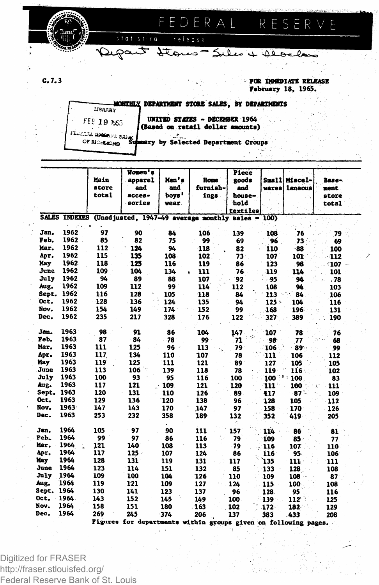

**G. 7.3 FOR IMMEDIATE RELEASE February 18, 1965.**

FED ERAL RESERVE

**; DEPARTMENT STORE SALES, BY DEPARTMENTS LIBRARY 19 19 1955**<br>20 AL DOWN VE BANK OF RICHMOND

 $510151$ 

 $\epsilon$  o

**UNITED STATES - DECEMBER 1964 I(Based on retail dollar amounts)**

Depart Stores - Seles + Alocken

**ary by Selected Department Groups**

release

|            |      | Main<br>store | Women's<br>apparel<br>and                                              | Men's<br>and   | <b>Home</b><br>furnish- | Piece<br>goods<br>and      | Small <br>wares | Miscel-<br><b>laneous</b> | Base-<br>ment  |
|------------|------|---------------|------------------------------------------------------------------------|----------------|-------------------------|----------------------------|-----------------|---------------------------|----------------|
|            |      | total         | $access -$<br>sories                                                   | boys'<br>wear. | ings                    | house-<br>hold<br>textiles |                 |                           | store<br>total |
|            |      |               | SALES INDEXES (Unadjusted, 1947-49 average monthly sales = 100)        |                |                         |                            |                 |                           |                |
| Jan.       | 1962 | 97            | 90                                                                     | 84             | 106                     | 139                        | 108             | 76                        | 79             |
| Feb.       | 1962 | 85            | 82                                                                     | 75             | 99                      | 69                         | 96              | 73                        | 69             |
| Mar.       | 1962 | 112           | 124                                                                    | 94             | 118                     | 82                         | 110             | $-88$                     | 100            |
| Apr.       | 1962 | 115           | 135                                                                    | 108            | 102                     | 73 <sup>°</sup>            | 107             | 101                       | 112            |
| May        | 1962 | 118           | 125                                                                    | 116            | 119                     | 86                         | 123             | 98                        | $:107-$        |
| June       | 1962 | 109           | 104                                                                    | 134            | 111                     | 76                         | 119             | 114                       | 101            |
| July       | 1962 | 94            | 89                                                                     | 88             | 107                     | 92                         | 95              | 94                        | .78            |
| Aug.       | 1962 | 109           | 112                                                                    | 99             | 114                     | 112                        | 108             | 94                        | 103            |
| Sept.      | 1962 | 116           | 128                                                                    | 105            | 118                     | 84                         | 113             | 84                        | 106            |
| Oct.       | 1962 | 128           | $-136$                                                                 | 124            | 135                     | 94                         | 125:            | 104                       | 116            |
| Nov.       | 1962 | 154           | 149                                                                    | 174            | 152                     | 99                         | 168             | 196                       | 131            |
| Dec.       | 1962 | 235           | 217                                                                    | 328            | 176                     | 122                        | 327             | 389                       | 190            |
| Jan.       | 1963 | 98            | 91                                                                     | 86             | 104                     | 147                        | 107             | 78                        | 76             |
| Feb.       | 1963 | 87            | 84                                                                     | 78             | 99                      | 71                         | 98              | 77                        | 68             |
| Mar.       | 1963 | 111           | 125                                                                    | $96 -$         | 113                     | 79                         | 106             | - 89 -                    | 99             |
| Apr.       | 1963 | 117           | 134                                                                    | 110            | 107                     | 78                         | 111             | 106                       | 112            |
| May        | 1963 | 119           | 125                                                                    | 111            | 121                     | 89                         | 127             | 105                       | 105            |
| June       | 1963 | 113           | H,<br>106                                                              | 139            | 118                     | 78                         | 119             | 116 <sup>2</sup>          | 102            |
| July       | 1963 | 100           | 93                                                                     | 95             | 116                     | 100                        | $100^{-3}$      | 100                       | 83             |
| Aug.       | 1963 | 117           | 121                                                                    | 109            | 121                     | 120                        | 111 -           | 100                       | 111            |
| Sept. 1963 |      | 120           | 131                                                                    | 110            | 126                     | 89                         | 417             | ⊶87`-                     | 109            |
| Oct.       | 1963 | 129           | 136                                                                    | 120            | 138                     | 96                         | 128             | 105                       | 112            |
| Nov.       | 1963 | 147           | 143                                                                    | 170            | 147                     | 97                         | 158             | 170                       | 126            |
| Dec.       | 1963 | 253           | 232                                                                    | 358            | 189                     | 132                        | 352             | 419                       | 205            |
| Jan.       | 1964 | 105           | 97                                                                     | 90             | 111                     | 157                        | 114             | 86                        | 81             |
| Peb.       | 1964 | 99            | 97                                                                     | 86             | 116                     | 79                         | 109             | 85                        | 77             |
| Mar.       | 1964 | 121           | 140                                                                    | 108            | 113                     | 79                         | 116             | 107                       | 110            |
| Apr.       | 1964 | 117           | $125 -$                                                                | 107            | 124                     | 86                         | 116             | 95.                       | 106            |
| May        | 1964 | 128           | 131                                                                    | 119            | 131                     | 117                        | 135             | $111 -$                   | 111            |
| June       | 1964 | 123           | 114                                                                    | 151            | 132                     | 85                         | 133             | 128                       | 108            |
| July       | 1964 | 109           | 100                                                                    | 104            | 126                     | 110                        | 109             | 108                       | 87             |
| Aug.       | 1964 | 119           | 121                                                                    | 109            | 127                     | 124                        | $115 -$         | 100                       | 108            |
| Sept. 1964 |      | 130           | 141                                                                    | 123            | 137                     | 96                         | 128.            | 95                        | 116            |
| Oct.       | 1964 | 143           | 152                                                                    | 145            | 149                     | 100                        | 139             | 112                       | 125            |
| Nov.       | 1964 | 158           | 151                                                                    | 180            | 163                     | 102                        | $172 -$         | 182                       | 129            |
| Dec.       | 1964 | 269           | 245<br>Figures for departments within groups given on following pages. | $-374$         | 206                     | 137                        | 383             | .433                      | 208            |

Digitized for FRASER http://fraser.stlouisfed.org/ Federal Reserve Bank of St. Louis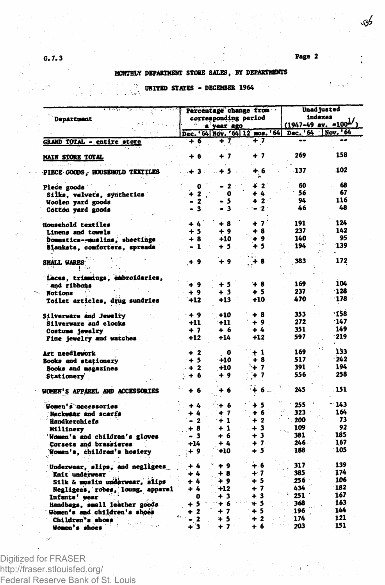$\hat{E} = 1/2$ 

## **MONTHLY DEPARTMENT STORE SALES, BY DEPARTMENTS**

# **UNITED STATES - DECEMBER 1964**

| Department                                                                      |                           | Percentage change from<br>corresponding period | Unad justed<br>indexes<br>$(1947-49$ av. =100 <sup>1/</sup> |            |          |
|---------------------------------------------------------------------------------|---------------------------|------------------------------------------------|-------------------------------------------------------------|------------|----------|
|                                                                                 |                           | a year ago                                     |                                                             |            | Nov. '64 |
|                                                                                 |                           |                                                | Dec. '64 Nov. '64 12 mos. '64                               | Dec. '64   | --       |
| <b>GRAND TOTAL - entire store</b>                                               | + 6                       | + 7                                            | + 7                                                         |            |          |
| <b>MAIN STORE TOTAL</b>                                                         | + 6                       | + 7                                            | + 7                                                         | 269        | 158      |
| $\alpha_{\rm T}$ is $\lambda_{\rm T}$<br><b>PIECE GOODS, HOUSEHOLD TEXTILES</b> | - + 3 -                   | + 5                                            | + 6                                                         | 137        | 102      |
| Piece goods                                                                     | 0                         | $\mathbf{2}$                                   | ∔ 2                                                         | 60         | 68       |
| Silks, velvets, synthetics                                                      | $\mathbf{z}$              | o                                              | + 4                                                         | 56         | 67       |
| Woolen yard goods                                                               | - 2                       | 5                                              | $+2$                                                        | 94         | 116      |
| Cotton yard goods                                                               | - 3                       | - 3                                            | $-2$                                                        | 46         | 48       |
|                                                                                 |                           |                                                |                                                             |            |          |
| Household textiles                                                              | + 4                       | $+8$                                           | - 7                                                         | 191        | 124      |
| <b>Linens and towels</b>                                                        | $+5$                      | $+9$                                           | + 8                                                         | 237        | 142      |
| Domestics-muslins, sheetings                                                    | $+8$                      | +10                                            | + 9                                                         | 140        | 95       |
| Blankets, comforters, spreads                                                   | - 1                       | $+5$                                           | + 5                                                         | 194        | 139      |
|                                                                                 |                           |                                                |                                                             |            |          |
| SMALL WARES                                                                     | $+9$                      | + 9                                            | $+8$                                                        | 383        | 172      |
|                                                                                 |                           |                                                |                                                             |            |          |
| Laces, trimmings, embroideries,                                                 |                           |                                                |                                                             |            |          |
| and ribbons                                                                     | $+9$                      | + 5                                            | +8                                                          | 169        | 104      |
| <b>Notions</b>                                                                  | + 9                       | + 3                                            | + 5                                                         | 237        | $-128$   |
| <b>Toilet articles, drug sundries</b>                                           | $+12$                     | +13                                            | +10                                                         | 470        | $-178$   |
|                                                                                 |                           |                                                |                                                             |            | ·158     |
| Silverware and Jewelry                                                          | $+9$                      | +10                                            | $+8$                                                        | 353        | -147     |
| Silverware and clocks                                                           | $+11$                     | $+11$                                          | $+9$                                                        | 272        | 149      |
| Costume jewelry                                                                 | + 7                       | + 6                                            | $+4$                                                        | 351<br>597 | 219      |
| Fine jewelry and watches                                                        | $+12$                     | $+14$                                          | $+12$                                                       |            |          |
|                                                                                 | $+2$                      | $\mathbf o$                                    | $+1$                                                        | 169        | 133      |
| <b>Art needlework</b>                                                           | $+5$                      | $+10$                                          | +8                                                          | 517        | $-242$   |
| Books and stationery<br>Books and magazines                                     | $+2$                      | $+10$                                          | $+7$                                                        | 391        | 194      |
| Stationery                                                                      | + 6                       | + 9                                            | + 7                                                         | 556        | 258      |
|                                                                                 |                           |                                                |                                                             |            |          |
| WOMEN'S APPAREL AND ACCESSORIES                                                 | + 6                       | + 6                                            | $6 -$                                                       | 245        | 151      |
| Women's accessories                                                             | + 4                       | $+6$                                           | $+5$                                                        | 255        | - 143    |
| <b>Neckwaar and scarfs</b>                                                      | + 4                       | $+7$                                           | + 6                                                         | 323        | 164      |
| Handkerchiefs                                                                   | $\mathbf{2}$<br>$\bullet$ | $+1$                                           | $+2$                                                        | 200        | 73       |
| <b>Millinery</b>                                                                | + 8                       | $+1$                                           | $+3$                                                        | 109        | 92       |
| Women's and children's gloves                                                   | - 3                       | + 6                                            | +3                                                          | 381        | 185      |
| Corsets and brassieres                                                          | -14                       | + 4                                            | $+7$                                                        | 246 -      | 167      |
| Women's, children's hosiery                                                     | + 9                       | +10                                            | + 5                                                         | 188        | 105      |
|                                                                                 | + 4                       | $+9$                                           | + 6                                                         | 317        | 139      |
| Underwear, slips, and negligees                                                 | + 4                       | + 8                                            | $+7$                                                        | 385        | 174      |
| Knit underwear<br>Silk & muslin underwear, slips                                | $+4$                      | + 9                                            | $+5$                                                        | 256        | 106      |
| Negligees, robes, loung. apparel                                                | + 4                       | $+12$                                          | $+7$                                                        | 434        | 182      |
| Infants' wear                                                                   | 0                         | + 3                                            | $+3$                                                        | 251        | 167      |
| Handbags, small leather goods                                                   | + 5                       | $+6$                                           | મ 5                                                         | 368        | 163      |
| Women's and children's shoes                                                    | $+2$                      | $+7$                                           | $+5$                                                        | 196        | 144      |
| Children's shoes                                                                | $\cdot$ 2                 | $+5$                                           | $+2$                                                        | 174        | 121      |
| Women's shoes                                                                   | + 3                       | $+7$                                           | $+6$                                                        | 203        | 151      |

Digitized for FRASER http://fraser.stlouisfed.org/ Federal Reserve Bank of St. Louis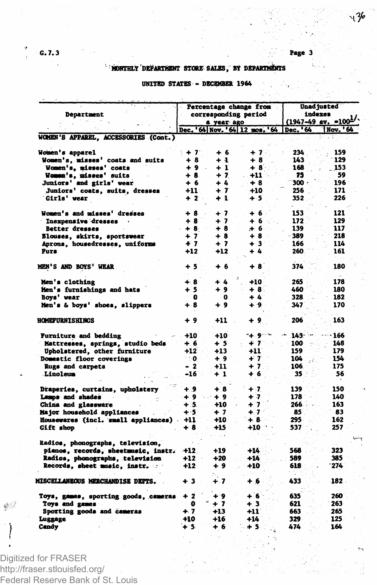## **MONTHLY DEPARTMENT STORK SALES, BY DEPARTMENTS**

### **UNITED STATES- DECEMBER 1964**

| Department                                              |              | Percentage change from<br><b>corresponding period</b><br>a year ago | Unad justed<br>indexes<br>$(1947-49$ av. =100 <sup>1/</sup> |                 |                  |
|---------------------------------------------------------|--------------|---------------------------------------------------------------------|-------------------------------------------------------------|-----------------|------------------|
|                                                         |              |                                                                     | Dec. '64 Nov. '64 12 mos. '64                               | Dec. '64        | <b>INov. '64</b> |
| WOMEN'S APPAREL, ACCESSORIES (Cont.)                    |              |                                                                     |                                                             |                 |                  |
| Women's apparel                                         | $+7$         | + 6                                                                 | $+7$                                                        | 234             | 159              |
| Women's, misses' coats and suits                        | + 8          | + 4                                                                 | + 8                                                         | 143             | 129              |
| Women's, misses' coats                                  | $+9$         | + 1                                                                 | +8`                                                         | 168             | 153              |
| Women's, misses' suits                                  | + 8.         | $+7$                                                                | +11                                                         | 73              | 59               |
| <b>Juniors' and girls' wear</b>                         | + 6          | + 4                                                                 | +8                                                          | ۰ 300           | 196              |
| Juniors' coats, suits, dresses                          | $+11$        | + 7                                                                 | +10                                                         | 256             | 171              |
| Girls' wear                                             | $+2$         | + 1                                                                 | $+5$                                                        | 352             | 226              |
| Women's and misses' dresses                             | + 8          | + 7                                                                 | +6                                                          | 153             | 121              |
| Inexpensive dresses                                     | $+8$         | $+7$                                                                | $+6$                                                        | 172             | 129              |
| <b>Better dresses</b>                                   | $+8.$        | $+8$                                                                | $+6$                                                        | 139             | 117              |
| Blouses, skirts, sportswear                             | $+7$         | $+8$                                                                | $+8$                                                        | - 389           | 218              |
| <b>Aprons, housedresses, uniforms</b>                   | $+7$         | $+7$                                                                | $+3$ <sup>-</sup>                                           | 166             | 114              |
| Furs                                                    | $+12$        | $+12$                                                               | + 4                                                         | 260             | 161              |
| <b>MEN'S AND BOYS' WEAR</b>                             | $+5$         | + 6                                                                 | +8                                                          | 374             | 180              |
| Men's clothing                                          | ∔.8          | $+4$                                                                | $+10$                                                       | 265             | 178              |
| Men's furnishings and hats                              | $+5$         | + 9                                                                 | $+8$                                                        | 460             | 180              |
| Bovs' vear                                              | 0            | 0                                                                   | $+4.$                                                       | 328             | 182              |
| Men's & boys' shoes, slippers                           | $+8$         | + 9                                                                 | $+9$                                                        | 347             | 170              |
| <b>HOMEPURNISHINGS</b>                                  | + 9          | $+11$                                                               | + 9                                                         | 206             | 163              |
| Furniture and bedding                                   | +10          | +10                                                                 | ∹∔. 9∵~                                                     | 143-            | - 166            |
| Mattresses, springs, studio beds                        | + 6          | + 5                                                                 | + 7                                                         | 100             | 148              |
| Upholstered, other furniture                            | $+12$        | $+13$                                                               | +11                                                         | 159             | 179              |
| Domestic floor coverings                                | ∴0           | +9                                                                  | + 1                                                         | 104             | 154              |
| <b>Rugs</b> and carpets                                 | - 2          | +11                                                                 | $+7$                                                        | 106             | 175              |
| Linoleum                                                | -16          | $+1$                                                                | + 6                                                         | 35 <sup>2</sup> | 56               |
|                                                         |              |                                                                     |                                                             |                 |                  |
| Draperies, curtains, upholstery                         | $+9$         | +8                                                                  | $+7$                                                        | 139             | 150              |
| Lamps and shades                                        | + 9          | $+9$                                                                | $+7$                                                        | 178             | 140              |
| China and glassware                                     | $+5.$        | $+10$                                                               | $+7$                                                        | 266             | 163              |
| <b>Major household appliances</b>                       | $+5$         | $+7$                                                                | $+7$                                                        | 85              | 83               |
| Housewares (incl. small appliances)<br><b>Gift</b> shop | $+11$<br>+ 8 | +10<br>+15                                                          | $+8$<br>+10                                                 | 295<br>537      | 162<br>257       |
|                                                         |              |                                                                     |                                                             |                 |                  |
| Radios, phonographs, television,                        |              |                                                                     |                                                             |                 |                  |
| pianos, records, sheetmusic, instr.                     | $+12.$       | +19                                                                 | +14                                                         | 568             | 323              |
| Radios, phonographs, television                         | $+12$        | $+20.$                                                              | $+14$                                                       | 589             | 385              |
| Records, sheet music, instr.                            | $+12$        | + 9                                                                 | $+10$                                                       | 618             | 274              |
| MISCELLANEOUS MERCHANDISE DEPTS.                        | + 3          | $+.7$                                                               | $+6$                                                        | 433             | 182.             |
| Toys, games, sporting goods, cameras                    | $+2$         | + 9                                                                 | +6                                                          | 635             | 260              |
| Toys and games                                          | 0            | $+7$                                                                | + 3                                                         | 621             | 263              |
| Sporting goods and cameras                              | $+7$         | $+13$                                                               | +11                                                         | 663             | 265              |
| Luggage                                                 | +10          | +16                                                                 | +14                                                         | 329             | 125              |
| Candy                                                   | + 5.         | + 6                                                                 | + 5                                                         | 474             | 1.64             |

Digitized for FRASER http://fraser.stlouisfed.org/ Federal Reserve Bank of St. Louis

 $\mathcal{O}$